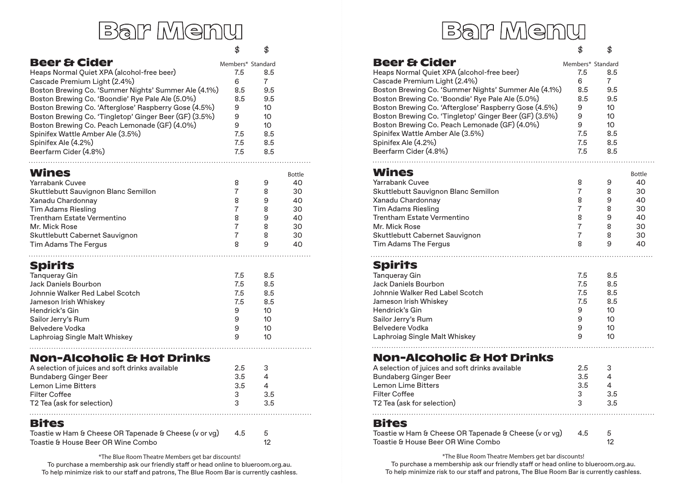|                                                        | \$                | \$              |               |
|--------------------------------------------------------|-------------------|-----------------|---------------|
| <b>Beer &amp; Cider</b>                                | Members* Standard |                 |               |
| Heaps Normal Quiet XPA (alcohol-free beer)             | 7.5               | 8.5             |               |
| Cascade Premium Light (2.4%)                           | 6                 | $\overline{7}$  |               |
| Boston Brewing Co. 'Summer Nights' Summer Ale (4.1%)   | $8.5 -$           | 9.5             |               |
| Boston Brewing Co. 'Boondie' Rye Pale Ale (5.0%)       | 8.5               | 9.5             |               |
| Boston Brewing Co. 'Afterglose' Raspberry Gose (4.5%)  | 9                 | 10 <sup>1</sup> |               |
| Boston Brewing Co. 'Tingletop' Ginger Beer (GF) (3.5%) | 9                 | 10 <sup>°</sup> |               |
| Boston Brewing Co. Peach Lemonade (GF) (4.0%)          | 9                 | 10 <sup>1</sup> |               |
| Spinifex Wattle Amber Ale (3.5%)                       | 7.5               | 8.5             |               |
| Spinifex Ale (4.2%)                                    | 7.5 8.5           |                 |               |
| Beerfarm Cider (4.8%)                                  | 7.5 8.5           |                 |               |
|                                                        |                   |                 |               |
| Wines                                                  |                   |                 | <b>Bottle</b> |
| Yarrabank Cuvee                                        | 8                 | 9               | 40            |
| Skuttlebutt Sauvignon Blanc Semillon                   | 7                 | 8               | 30            |
| Xanadu Chardonnay                                      | 8                 | 9               | 40            |
| <b>Tim Adams Riesling</b>                              | 7                 | 8               | 30            |
| Trentham Estate Vermentino                             | 8                 | 9               | 40            |
| Mr. Mick Rose                                          | $\overline{7}$    | 8               | 30            |
| Skuttlebutt Cabernet Sauvignon                         | $\overline{7}$    | 8               | 30            |
| Tim Adams The Fergus                                   | 8                 | 9               | 40            |
|                                                        |                   |                 |               |
| <b>Spirits</b>                                         |                   |                 |               |
| <b>Tanqueray Gin</b>                                   | 7.5               | 8.5             |               |
| Jack Daniels Bourbon                                   | 7.5               | 8.5             |               |
| Johnnie Walker Red Label Scotch                        | 7.5               | 8.5             |               |

| Jameson Irish Whiskey         | 7.5 | 8.5 |
|-------------------------------|-----|-----|
| Hendrick's Gin                | q   | 10  |
| Sailor Jerry's Rum            | q   | 10  |
| Belvedere Vodka               | q   | 10  |
| Laphroiag Single Malt Whiskey | Q   | 10  |
|                               |     |     |

#### **Non-Alcoholic & Hot Drinks**

| A selection of juices and soft drinks available | 25 |     |
|-------------------------------------------------|----|-----|
| Bundaberg Ginger Beer                           | 35 | 4   |
| Lemon Lime Bitters                              | 35 | Δ   |
| Filter Coffee                                   | 3  | 3.5 |
| T2 Tea (ask for selection)                      | -2 | 35  |
|                                                 |    |     |

#### **Bites**

 $1.1.1.1$ 

.

| Toastie w Ham & Cheese OR Tapenade & Cheese (v or vg) | 4.5 |  |
|-------------------------------------------------------|-----|--|
| Toastie & House Beer OR Wine Combo                    |     |  |

\*The Blue Room Theatre Members get bar discounts!

To purchase a membership ask our friendly staff or head online to blueroom.org.au. To help minimize risk to our staff and patrons, The Blue Room Bar is currently cashless.

# Bar Menu <sub>\* \*</sub> Bar Menu <sub>\* \*</sub> **Bar Menu**

| .                                                                                                                                                                                                                                                                                                                                                                                                                                                                         | 9                                                                                        | 10 <sup>10</sup>                                                                                     |                                                               |
|---------------------------------------------------------------------------------------------------------------------------------------------------------------------------------------------------------------------------------------------------------------------------------------------------------------------------------------------------------------------------------------------------------------------------------------------------------------------------|------------------------------------------------------------------------------------------|------------------------------------------------------------------------------------------------------|---------------------------------------------------------------|
| Spirits<br><b>Tanqueray Gin</b><br>Jack Daniels Bourbon<br>Johnnie Walker Red Label Scotch<br>Jameson Irish Whiskey<br>Hendrick's Gin<br>Sailor Jerry's Rum<br><b>Belvedere Vodka</b><br>Laphroiag Single Malt Whiskey                                                                                                                                                                                                                                                    | 7.5<br>7.5<br>7.5<br>7.5<br>9<br>9<br>9                                                  | 8.5<br>8.5<br>8.5<br>8.5<br>10 <sup>°</sup><br>10<br>10 <sup>°</sup>                                 |                                                               |
| Wines<br>Yarrabank Cuvee<br>Skuttlebutt Sauvignon Blanc Semillon<br>Xanadu Chardonnay<br><b>Tim Adams Riesling</b><br>Trentham Estate Vermentino<br>Mr. Mick Rose<br>Skuttlebutt Cabernet Sauvignon<br><b>Tim Adams The Fergus</b>                                                                                                                                                                                                                                        | 8<br>$\overline{7}$<br>8<br>$\overline{7}$<br>8<br>$\overline{7}$<br>$\overline{7}$<br>8 | 9<br>8<br>9<br>8<br>9<br>8<br>8<br>9                                                                 | <b>Bottle</b><br>40<br>30<br>40<br>30<br>40<br>30<br>30<br>40 |
| <b>Beer &amp; Cider</b><br>Heaps Normal Quiet XPA (alcohol-free beer)<br>Cascade Premium Light (2.4%)<br>Boston Brewing Co. 'Summer Nights' Summer Ale (4.1%)<br>Boston Brewing Co. 'Boondie' Rye Pale Ale (5.0%)<br>Boston Brewing Co. 'Afterglose' Raspberry Gose (4.5%)<br>Boston Brewing Co. 'Tingletop' Ginger Beer (GF) (3.5%)<br>Boston Brewing Co. Peach Lemonade (GF) (4.0%)<br>Spinifex Wattle Amber Ale (3.5%)<br>Spinifex Ale (4.2%)<br>Beerfarm Cider (4.8%) | Members* Standard<br>7.5<br>6<br>8.5<br>8.5<br>9<br>9<br>9<br>7.5<br>7.5<br>7.5          | 8.5<br>$\overline{7}$<br>9.5<br>9.5<br>10 <sup>°</sup><br>10 <sup>°</sup><br>10<br>8.5<br>8.5<br>8.5 |                                                               |

#### **Non-Alcoholic & Hot Drinks**

| A selection of juices and soft drinks available | 25 |     |  |
|-------------------------------------------------|----|-----|--|
| <b>Bundaberg Ginger Beer</b>                    | 35 |     |  |
| <b>Lemon Lime Bitters</b>                       | 35 |     |  |
| <b>Filter Coffee</b>                            | 3  | 3.5 |  |
| T2 Tea (ask for selection)                      | ્ર | 35  |  |
|                                                 |    |     |  |

#### **Bites**

| Toastie w Ham & Cheese OR Tapenade & Cheese (v or vg) | 4.5 | - 5 |
|-------------------------------------------------------|-----|-----|
| Toastie & House Beer OR Wine Combo                    |     | 12  |

\*The Blue Room Theatre Members get bar discounts! To purchase a membership ask our friendly staff or head online to blueroom.org.au. To help minimize risk to our staff and patrons, The Blue Room Bar is currently cashless.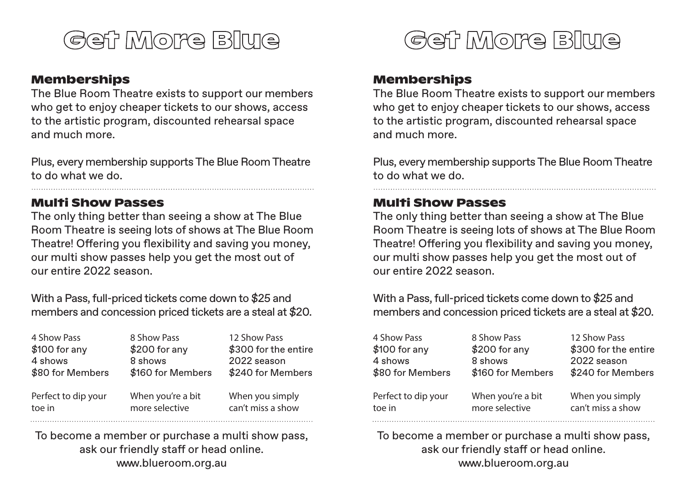

#### **Memberships**

The Blue Room Theatre exists to support our members who get to enjoy cheaper tickets to our shows, access to the artistic program, discounted rehearsal space and much more.

Plus, every membership supports The Blue Room Theatre to do what we do.

# **Multi Show Passes**

The only thing better than seeing a show at The Blue Room Theatre is seeing lots of shows at The Blue Room Theatre! Offering you flexibility and saving you money, our multi show passes help you get the most out of our entire 2022 season.

With a Pass, full-priced tickets come down to \$25 and members and concession priced tickets are a steal at \$20.

| 4 Show Pass         | 8 Show Pass       | 12 Show Pass         |
|---------------------|-------------------|----------------------|
| $$100$ for any      | $$200$ for any    | \$300 for the entire |
| 4 shows             | 8 shows           | 2022 season          |
| \$80 for Members    | \$160 for Members | \$240 for Members    |
| Perfect to dip your | When you're a bit | When you simply      |
| toe in              | more selective    | can't miss a show    |

To become a member or purchase a multi show pass, ask our friendly staff or head online. www.blueroom.org.au



## **Memberships**

The Blue Room Theatre exists to support our members who get to enjoy cheaper tickets to our shows, access to the artistic program, discounted rehearsal space and much more.

Plus, every membership supports The Blue Room Theatre to do what we do.

## **Multi Show Passes**

The only thing better than seeing a show at The Blue Room Theatre is seeing lots of shows at The Blue Room Theatre! Offering you flexibility and saving you money, our multi show passes help you get the most out of our entire 2022 season.

With a Pass, full-priced tickets come down to \$25 and members and concession priced tickets are a steal at \$20.

| 4 Show Pass         | 8 Show Pass       | 12 Show Pass         |
|---------------------|-------------------|----------------------|
| $$100$ for any      | $$200$ for any    | \$300 for the entire |
| 4 shows             | 8 shows           | 2022 season          |
| \$80 for Members    | \$160 for Members | \$240 for Members    |
| Perfect to dip your | When you're a bit | When you simply      |
| toe in              | more selective    | can't miss a show    |

To become a member or purchase a multi show pass, ask our friendly staff or head online. www.blueroom.org.au